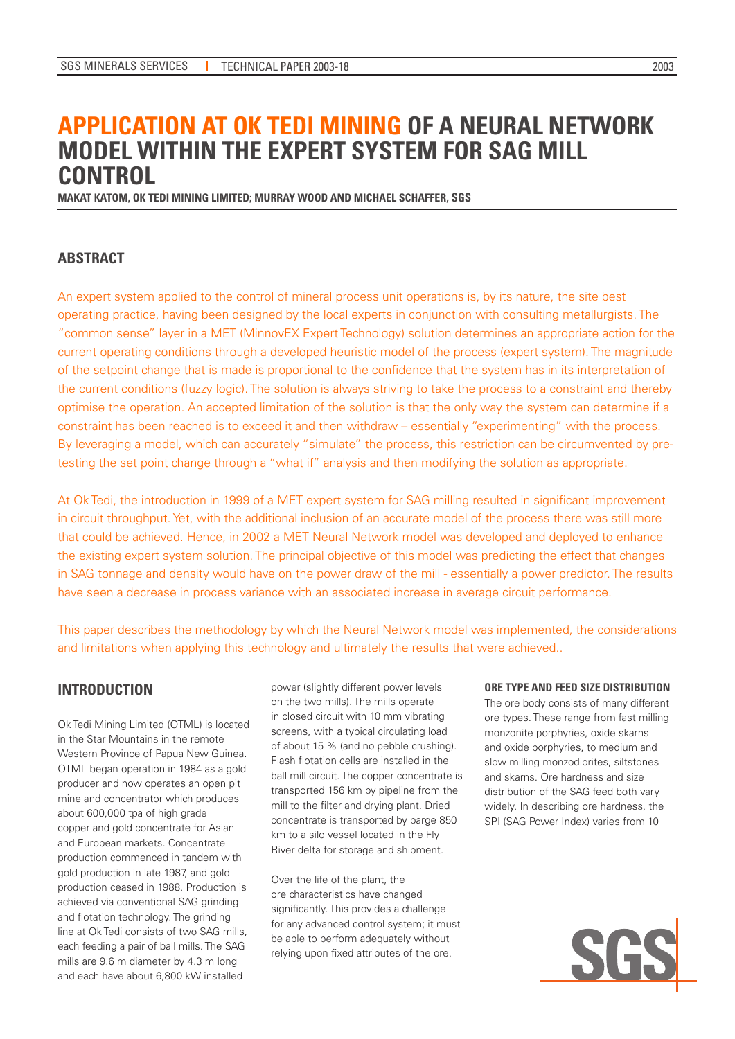# **APPLICATION AT OK TEDI MINING OF A NEURAL NETWORK MODEL WITHIN THE EXPERT SYSTEM FOR SAG MILL CONTROL**

**MAKAT KATOM, OK TEDI MINING LIMITED; MURRAY WOOD AND MICHAEL SCHAFFER, SGS**

## **ABSTRACT**

An expert system applied to the control of mineral process unit operations is, by its nature, the site best operating practice, having been designed by the local experts in conjunction with consulting metallurgists. The "common sense" layer in a MET (MinnovEX Expert Technology) solution determines an appropriate action for the current operating conditions through a developed heuristic model of the process (expert system). The magnitude of the setpoint change that is made is proportional to the confidence that the system has in its interpretation of the current conditions (fuzzy logic). The solution is always striving to take the process to a constraint and thereby optimise the operation. An accepted limitation of the solution is that the only way the system can determine if a constraint has been reached is to exceed it and then withdraw – essentially "experimenting" with the process. By leveraging a model, which can accurately "simulate" the process, this restriction can be circumvented by pretesting the set point change through a "what if" analysis and then modifying the solution as appropriate.

At Ok Tedi, the introduction in 1999 of a MET expert system for SAG milling resulted in significant improvement in circuit throughput. Yet, with the additional inclusion of an accurate model of the process there was still more that could be achieved. Hence, in 2002 a MET Neural Network model was developed and deployed to enhance the existing expert system solution. The principal objective of this model was predicting the effect that changes in SAG tonnage and density would have on the power draw of the mill - essentially a power predictor. The results have seen a decrease in process variance with an associated increase in average circuit performance.

This paper describes the methodology by which the Neural Network model was implemented, the considerations and limitations when applying this technology and ultimately the results that were achieved..

### **INTRODUCTION**

Ok Tedi Mining Limited (OTML) is located in the Star Mountains in the remote Western Province of Papua New Guinea. OTML began operation in 1984 as a gold producer and now operates an open pit mine and concentrator which produces about 600,000 tpa of high grade copper and gold concentrate for Asian and European markets. Concentrate production commenced in tandem with gold production in late 1987, and gold production ceased in 1988. Production is achieved via conventional SAG grinding and flotation technology. The grinding line at Ok Tedi consists of two SAG mills, each feeding a pair of ball mills. The SAG mills are 9.6 m diameter by 4.3 m long and each have about 6,800 kW installed

power (slightly different power levels on the two mills). The mills operate in closed circuit with 10 mm vibrating screens, with a typical circulating load of about 15 % (and no pebble crushing). Flash flotation cells are installed in the ball mill circuit. The copper concentrate is transported 156 km by pipeline from the mill to the filter and drying plant. Dried concentrate is transported by barge 850 km to a silo vessel located in the Fly River delta for storage and shipment.

Over the life of the plant, the ore characteristics have changed significantly. This provides a challenge for any advanced control system; it must be able to perform adequately without relying upon fixed attributes of the ore.

#### **ORE TYPE AND FEED SIZE DISTRIBUTION**

The ore body consists of many different ore types. These range from fast milling monzonite porphyries, oxide skarns and oxide porphyries, to medium and slow milling monzodiorites, siltstones and skarns. Ore hardness and size distribution of the SAG feed both vary widely. In describing ore hardness, the SPI (SAG Power Index) varies from 10

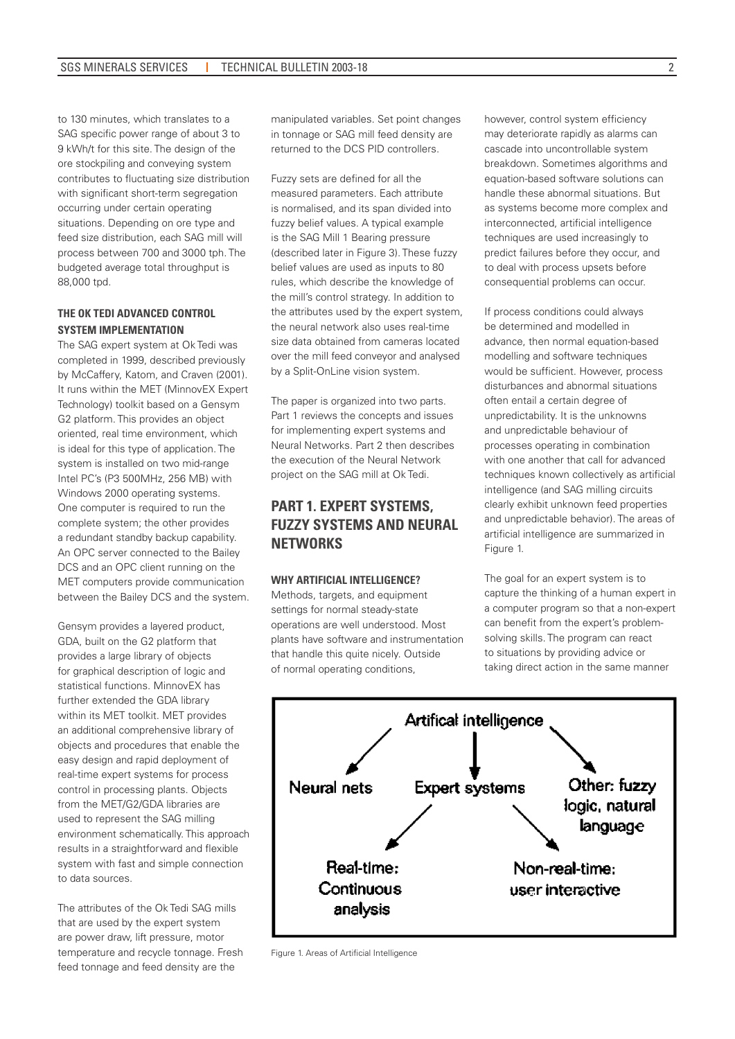to 130 minutes, which translates to a SAG specific power range of about 3 to 9 kWh/t for this site. The design of the ore stockpiling and conveying system contributes to fluctuating size distribution with significant short-term segregation occurring under certain operating situations. Depending on ore type and feed size distribution, each SAG mill will process between 700 and 3000 tph. The budgeted average total throughput is 88,000 tpd.

### **THE OK TEDI ADVANCED CONTROL SYSTEM IMPLEMENTATION**

The SAG expert system at Ok Tedi was completed in 1999, described previously by McCaffery, Katom, and Craven (2001). It runs within the MET (MinnovEX Expert Technology) toolkit based on a Gensym G2 platform. This provides an object oriented, real time environment, which is ideal for this type of application. The system is installed on two mid-range Intel PC's (P3 500MHz, 256 MB) with Windows 2000 operating systems. One computer is required to run the complete system; the other provides a redundant standby backup capability. An OPC server connected to the Bailey DCS and an OPC client running on the MET computers provide communication between the Bailey DCS and the system.

Gensym provides a layered product, GDA, built on the G2 platform that provides a large library of objects for graphical description of logic and statistical functions. MinnovEX has further extended the GDA library within its MET toolkit. MET provides an additional comprehensive library of objects and procedures that enable the easy design and rapid deployment of real-time expert systems for process control in processing plants. Objects from the MET/G2/GDA libraries are used to represent the SAG milling environment schematically. This approach results in a straightforward and flexible system with fast and simple connection to data sources.

The attributes of the Ok Tedi SAG mills that are used by the expert system are power draw, lift pressure, motor temperature and recycle tonnage. Fresh feed tonnage and feed density are the

manipulated variables. Set point changes in tonnage or SAG mill feed density are returned to the DCS PID controllers.

Fuzzy sets are defined for all the measured parameters. Each attribute is normalised, and its span divided into fuzzy belief values. A typical example is the SAG Mill 1 Bearing pressure (described later in Figure 3). These fuzzy belief values are used as inputs to 80 rules, which describe the knowledge of the mill's control strategy. In addition to the attributes used by the expert system, the neural network also uses real-time size data obtained from cameras located over the mill feed conveyor and analysed by a Split-OnLine vision system.

The paper is organized into two parts. Part 1 reviews the concepts and issues for implementing expert systems and Neural Networks. Part 2 then describes the execution of the Neural Network project on the SAG mill at Ok Tedi.

# **PART 1. EXPERT SYSTEMS, FUZZY SYSTEMS AND NEURAL NETWORKS**

### **WHY ARTIFICIAL INTELLIGENCE?**

Methods, targets, and equipment settings for normal steady-state operations are well understood. Most plants have software and instrumentation that handle this quite nicely. Outside of normal operating conditions,

however, control system efficiency may deteriorate rapidly as alarms can cascade into uncontrollable system breakdown. Sometimes algorithms and equation-based software solutions can handle these abnormal situations. But as systems become more complex and interconnected, artificial intelligence techniques are used increasingly to predict failures before they occur, and to deal with process upsets before consequential problems can occur.

If process conditions could always be determined and modelled in advance, then normal equation-based modelling and software techniques would be sufficient. However, process disturbances and abnormal situations often entail a certain degree of unpredictability. It is the unknowns and unpredictable behaviour of processes operating in combination with one another that call for advanced techniques known collectively as artificial intelligence (and SAG milling circuits clearly exhibit unknown feed properties and unpredictable behavior). The areas of artificial intelligence are summarized in Figure 1.

The goal for an expert system is to capture the thinking of a human expert in a computer program so that a non-expert can benefit from the expert's problemsolving skills. The program can react to situations by providing advice or taking direct action in the same manner



Figure 1. Areas of Artificial Intelligence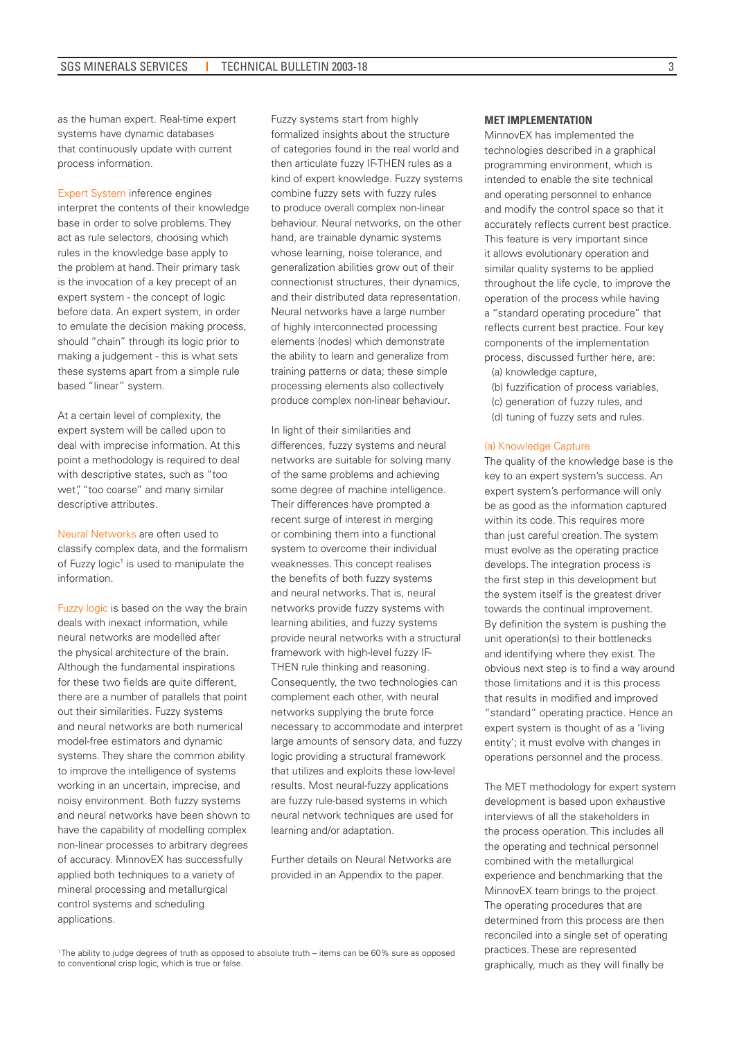as the human expert. Real-time expert systems have dynamic databases that continuously update with current process information.

Expert System inference engines interpret the contents of their knowledge base in order to solve problems. They act as rule selectors, choosing which rules in the knowledge base apply to the problem at hand. Their primary task is the invocation of a key precept of an expert system - the concept of logic before data. An expert system, in order to emulate the decision making process, should "chain" through its logic prior to making a judgement - this is what sets these systems apart from a simple rule based "linear" system.

At a certain level of complexity, the expert system will be called upon to deal with imprecise information. At this point a methodology is required to deal with descriptive states, such as "too wet", "too coarse" and many similar descriptive attributes.

Neural Networks are often used to classify complex data, and the formalism of Fuzzy logic<sup>1</sup> is used to manipulate the information.

Fuzzy logic is based on the way the brain deals with inexact information, while neural networks are modelled after the physical architecture of the brain. Although the fundamental inspirations for these two fields are quite different, there are a number of parallels that point out their similarities. Fuzzy systems and neural networks are both numerical model-free estimators and dynamic systems. They share the common ability to improve the intelligence of systems working in an uncertain, imprecise, and noisy environment. Both fuzzy systems and neural networks have been shown to have the capability of modelling complex non-linear processes to arbitrary degrees of accuracy. MinnovEX has successfully applied both techniques to a variety of mineral processing and metallurgical control systems and scheduling applications.

Fuzzy systems start from highly formalized insights about the structure of categories found in the real world and then articulate fuzzy IF-THEN rules as a kind of expert knowledge. Fuzzy systems combine fuzzy sets with fuzzy rules to produce overall complex non-linear behaviour. Neural networks, on the other hand, are trainable dynamic systems whose learning, noise tolerance, and generalization abilities grow out of their connectionist structures, their dynamics, and their distributed data representation. Neural networks have a large number of highly interconnected processing elements (nodes) which demonstrate the ability to learn and generalize from training patterns or data; these simple processing elements also collectively produce complex non-linear behaviour.

In light of their similarities and differences, fuzzy systems and neural networks are suitable for solving many of the same problems and achieving some degree of machine intelligence. Their differences have prompted a recent surge of interest in merging or combining them into a functional system to overcome their individual weaknesses. This concept realises the benefits of both fuzzy systems and neural networks. That is, neural networks provide fuzzy systems with learning abilities, and fuzzy systems provide neural networks with a structural framework with high-level fuzzy IF-THEN rule thinking and reasoning. Consequently, the two technologies can complement each other, with neural networks supplying the brute force necessary to accommodate and interpret large amounts of sensory data, and fuzzy logic providing a structural framework that utilizes and exploits these low-level results. Most neural-fuzzy applications are fuzzy rule-based systems in which neural network techniques are used for learning and/or adaptation.

Further details on Neural Networks are provided in an Appendix to the paper.

#### **MET IMPLEMENTATION**

MinnovEX has implemented the technologies described in a graphical programming environment, which is intended to enable the site technical and operating personnel to enhance and modify the control space so that it accurately reflects current best practice. This feature is very important since it allows evolutionary operation and similar quality systems to be applied throughout the life cycle, to improve the operation of the process while having a "standard operating procedure" that reflects current best practice. Four key components of the implementation process, discussed further here, are:

(a) knowledge capture,

(b) fuzzification of process variables, (c) generation of fuzzy rules, and (d) tuning of fuzzy sets and rules.

#### (a) Knowledge Capture

The quality of the knowledge base is the key to an expert system's success. An expert system's performance will only be as good as the information captured within its code. This requires more than just careful creation. The system must evolve as the operating practice develops. The integration process is the first step in this development but the system itself is the greatest driver towards the continual improvement. By definition the system is pushing the unit operation(s) to their bottlenecks and identifying where they exist. The obvious next step is to find a way around those limitations and it is this process that results in modified and improved "standard" operating practice. Hence an expert system is thought of as a 'living entity'; it must evolve with changes in operations personnel and the process.

The MET methodology for expert system development is based upon exhaustive interviews of all the stakeholders in the process operation. This includes all the operating and technical personnel combined with the metallurgical experience and benchmarking that the MinnovEX team brings to the project. The operating procedures that are determined from this process are then reconciled into a single set of operating practices. These are represented graphically, much as they will finally be

<sup>&</sup>lt;sup>1</sup>The ability to judge degrees of truth as opposed to absolute truth – items can be 60% sure as opposed to conventional crisp logic, which is true or false.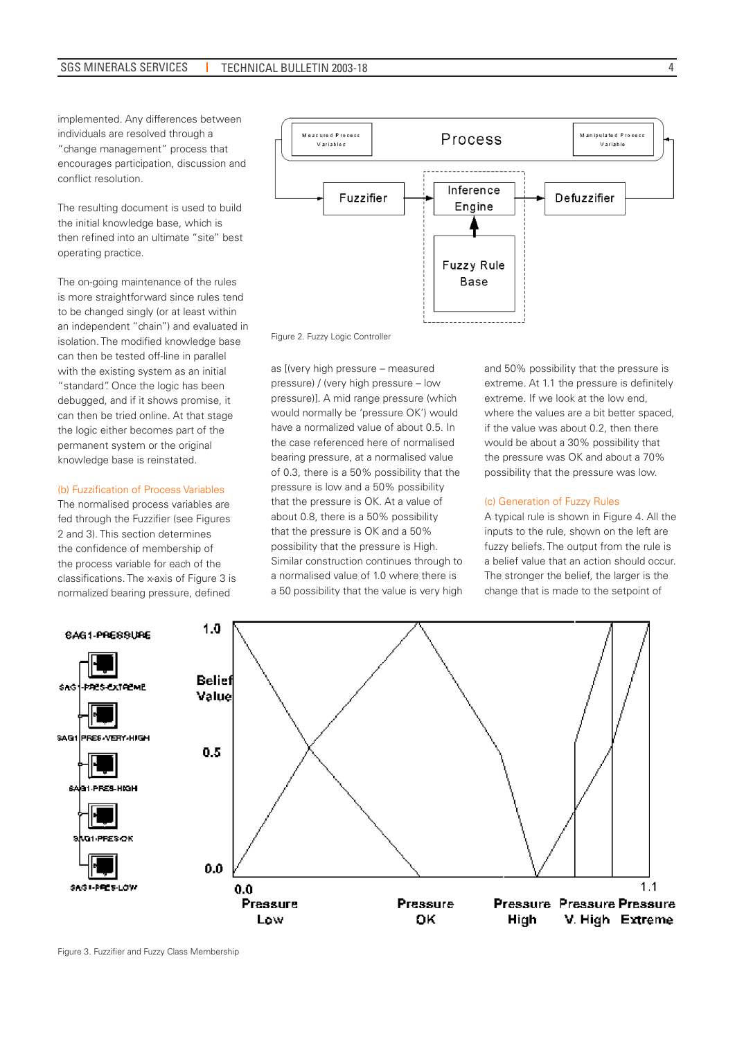implemented. Any differences between individuals are resolved through a "change management" process that encourages participation, discussion and conflict resolution.

The resulting document is used to build the initial knowledge base, which is then refined into an ultimate "site" best operating practice.

The on-going maintenance of the rules is more straightforward since rules tend to be changed singly (or at least within an independent "chain") and evaluated in isolation. The modified knowledge base can then be tested off-line in parallel with the existing system as an initial "standard". Once the logic has been debugged, and if it shows promise, it can then be tried online. At that stage the logic either becomes part of the permanent system or the original knowledge base is reinstated.

### (b) Fuzzification of Process Variables

The normalised process variables are fed through the Fuzzifier (see Figures 2 and 3). This section determines the confidence of membership of the process variable for each of the classifications. The x-axis of Figure 3 is normalized bearing pressure, defined



Figure 2. Fuzzy Logic Controller

as [(very high pressure – measured pressure) / (very high pressure – low pressure)]. A mid range pressure (which would normally be 'pressure OK') would have a normalized value of about 0.5. In the case referenced here of normalised bearing pressure, at a normalised value of 0.3, there is a 50% possibility that the pressure is low and a 50% possibility that the pressure is OK. At a value of about 0.8, there is a 50% possibility that the pressure is OK and a 50% possibility that the pressure is High. Similar construction continues through to a normalised value of 1.0 where there is a 50 possibility that the value is very high

and 50% possibility that the pressure is extreme. At 1.1 the pressure is definitely extreme. If we look at the low end, where the values are a bit better spaced, if the value was about 0.2, then there would be about a 30% possibility that the pressure was OK and about a 70% possibility that the pressure was low.

#### (c) Generation of Fuzzy Rules

A typical rule is shown in Figure 4. All the inputs to the rule, shown on the left are fuzzy beliefs. The output from the rule is a belief value that an action should occur. The stronger the belief, the larger is the change that is made to the setpoint of

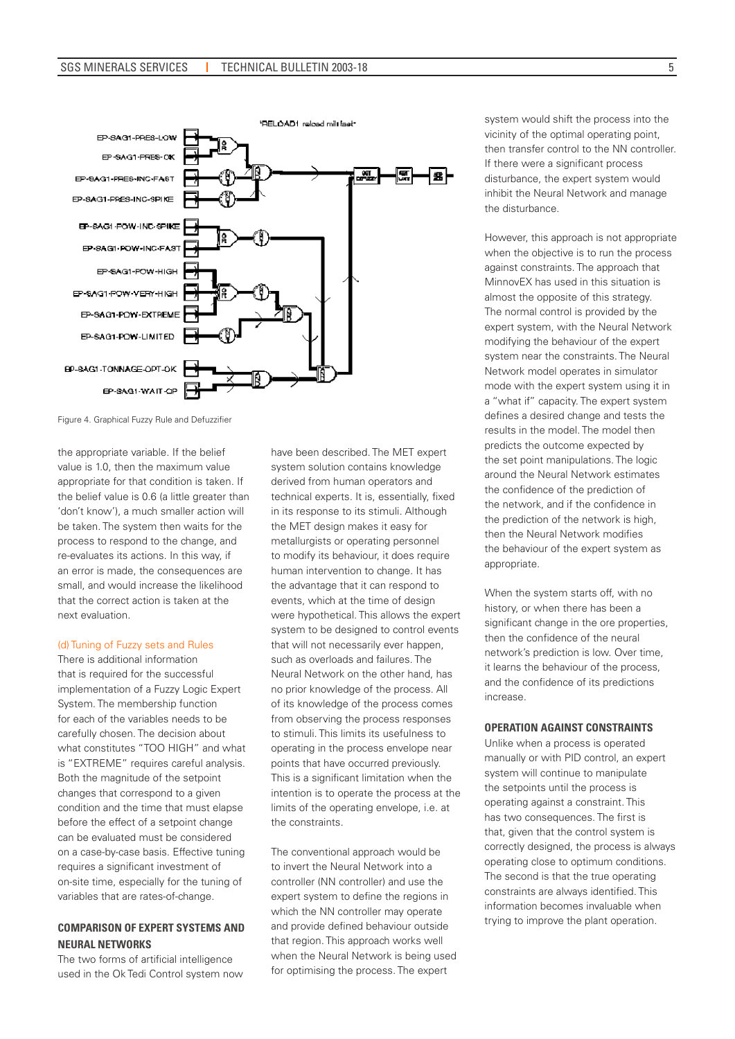

Figure 4. Graphical Fuzzy Rule and Defuzzifier

the appropriate variable. If the belief value is 1.0, then the maximum value appropriate for that condition is taken. If the belief value is 0.6 (a little greater than 'don't know'), a much smaller action will be taken. The system then waits for the process to respond to the change, and re-evaluates its actions. In this way, if an error is made, the consequences are small, and would increase the likelihood that the correct action is taken at the next evaluation.

#### (d) Tuning of Fuzzy sets and Rules

There is additional information that is required for the successful implementation of a Fuzzy Logic Expert System. The membership function for each of the variables needs to be carefully chosen. The decision about what constitutes "TOO HIGH" and what is "EXTREME" requires careful analysis. Both the magnitude of the setpoint changes that correspond to a given condition and the time that must elapse before the effect of a setpoint change can be evaluated must be considered on a case-by-case basis. Effective tuning requires a significant investment of on-site time, especially for the tuning of variables that are rates-of-change.

### **COMPARISON OF EXPERT SYSTEMS AND NEURAL NETWORKS**

The two forms of artificial intelligence used in the Ok Tedi Control system now have been described. The MET expert system solution contains knowledge derived from human operators and technical experts. It is, essentially, fixed in its response to its stimuli. Although the MET design makes it easy for metallurgists or operating personnel to modify its behaviour, it does require human intervention to change. It has the advantage that it can respond to events, which at the time of design were hypothetical. This allows the expert system to be designed to control events that will not necessarily ever happen, such as overloads and failures. The Neural Network on the other hand, has no prior knowledge of the process. All of its knowledge of the process comes from observing the process responses to stimuli. This limits its usefulness to operating in the process envelope near points that have occurred previously. This is a significant limitation when the intention is to operate the process at the limits of the operating envelope, i.e. at the constraints.

The conventional approach would be to invert the Neural Network into a controller (NN controller) and use the expert system to define the regions in which the NN controller may operate and provide defined behaviour outside that region. This approach works well when the Neural Network is being used for optimising the process. The expert

system would shift the process into the vicinity of the optimal operating point, then transfer control to the NN controller. If there were a significant process disturbance, the expert system would inhibit the Neural Network and manage the disturbance.

However, this approach is not appropriate when the objective is to run the process against constraints. The approach that MinnovEX has used in this situation is almost the opposite of this strategy. The normal control is provided by the expert system, with the Neural Network modifying the behaviour of the expert system near the constraints. The Neural Network model operates in simulator mode with the expert system using it in a "what if" capacity. The expert system defines a desired change and tests the results in the model. The model then predicts the outcome expected by the set point manipulations. The logic around the Neural Network estimates the confidence of the prediction of the network, and if the confidence in the prediction of the network is high, then the Neural Network modifies the behaviour of the expert system as appropriate.

When the system starts off, with no history, or when there has been a significant change in the ore properties. then the confidence of the neural network's prediction is low. Over time, it learns the behaviour of the process, and the confidence of its predictions increase.

### **OPERATION AGAINST CONSTRAINTS**

Unlike when a process is operated manually or with PID control, an expert system will continue to manipulate the setpoints until the process is operating against a constraint. This has two consequences. The first is that, given that the control system is correctly designed, the process is always operating close to optimum conditions. The second is that the true operating constraints are always identified. This information becomes invaluable when trying to improve the plant operation.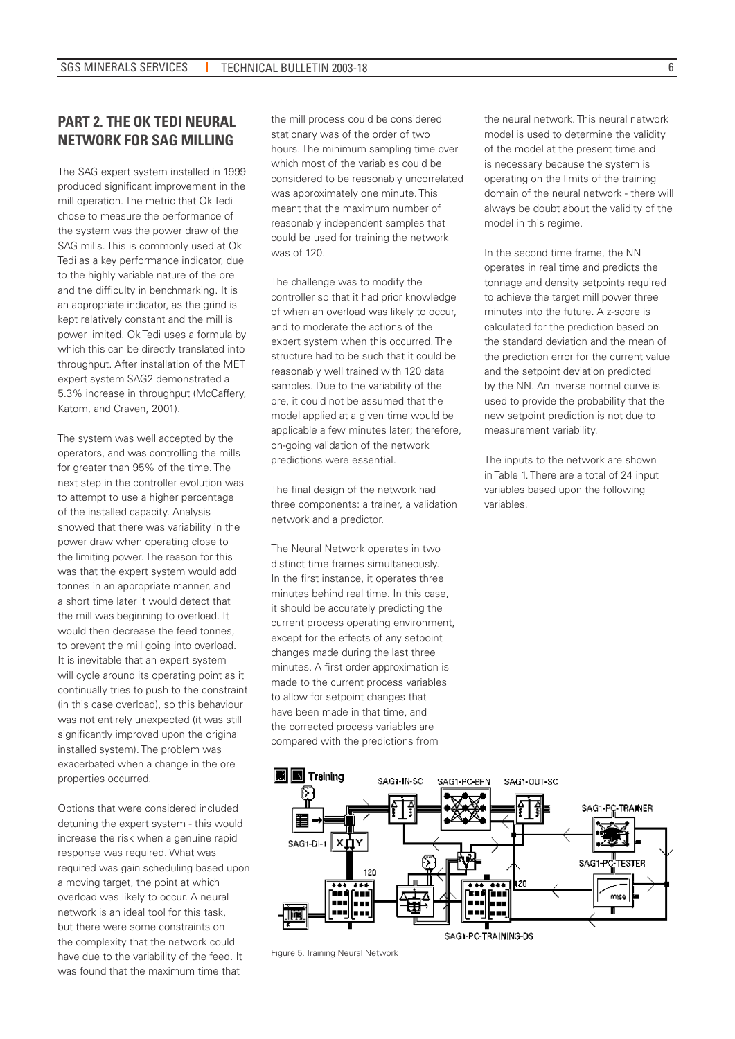# **PART 2. THE OK TEDI NEURAL NETWORK FOR SAG MILLING**

The SAG expert system installed in 1999 produced significant improvement in the mill operation. The metric that Ok Tedi chose to measure the performance of the system was the power draw of the SAG mills. This is commonly used at Ok Tedi as a key performance indicator, due to the highly variable nature of the ore and the difficulty in benchmarking. It is an appropriate indicator, as the grind is kept relatively constant and the mill is power limited. Ok Tedi uses a formula by which this can be directly translated into throughput. After installation of the MET expert system SAG2 demonstrated a 5.3% increase in throughput (McCaffery, Katom, and Craven, 2001).

The system was well accepted by the operators, and was controlling the mills for greater than 95% of the time. The next step in the controller evolution was to attempt to use a higher percentage of the installed capacity. Analysis showed that there was variability in the power draw when operating close to the limiting power. The reason for this was that the expert system would add tonnes in an appropriate manner, and a short time later it would detect that the mill was beginning to overload. It would then decrease the feed tonnes, to prevent the mill going into overload. It is inevitable that an expert system will cycle around its operating point as it continually tries to push to the constraint (in this case overload), so this behaviour was not entirely unexpected (it was still significantly improved upon the original installed system). The problem was exacerbated when a change in the ore properties occurred.

Options that were considered included detuning the expert system - this would increase the risk when a genuine rapid response was required. What was required was gain scheduling based upon a moving target, the point at which overload was likely to occur. A neural network is an ideal tool for this task, but there were some constraints on the complexity that the network could have due to the variability of the feed. It was found that the maximum time that

the mill process could be considered stationary was of the order of two hours. The minimum sampling time over which most of the variables could be considered to be reasonably uncorrelated was approximately one minute. This meant that the maximum number of reasonably independent samples that could be used for training the network was of 120.

The challenge was to modify the controller so that it had prior knowledge of when an overload was likely to occur, and to moderate the actions of the expert system when this occurred. The structure had to be such that it could be reasonably well trained with 120 data samples. Due to the variability of the ore, it could not be assumed that the model applied at a given time would be applicable a few minutes later; therefore, on-going validation of the network predictions were essential.

The final design of the network had three components: a trainer, a validation network and a predictor.

The Neural Network operates in two distinct time frames simultaneously. In the first instance, it operates three minutes behind real time. In this case, it should be accurately predicting the current process operating environment, except for the effects of any setpoint changes made during the last three minutes. A first order approximation is made to the current process variables to allow for setpoint changes that have been made in that time, and the corrected process variables are compared with the predictions from

the neural network. This neural network model is used to determine the validity of the model at the present time and is necessary because the system is operating on the limits of the training domain of the neural network - there will always be doubt about the validity of the model in this regime.

In the second time frame, the NN operates in real time and predicts the tonnage and density setpoints required to achieve the target mill power three minutes into the future. A z-score is calculated for the prediction based on the standard deviation and the mean of the prediction error for the current value and the setpoint deviation predicted by the NN. An inverse normal curve is used to provide the probability that the new setpoint prediction is not due to measurement variability.

The inputs to the network are shown in Table 1. There are a total of 24 input variables based upon the following variables.



Figure 5. Training Neural Network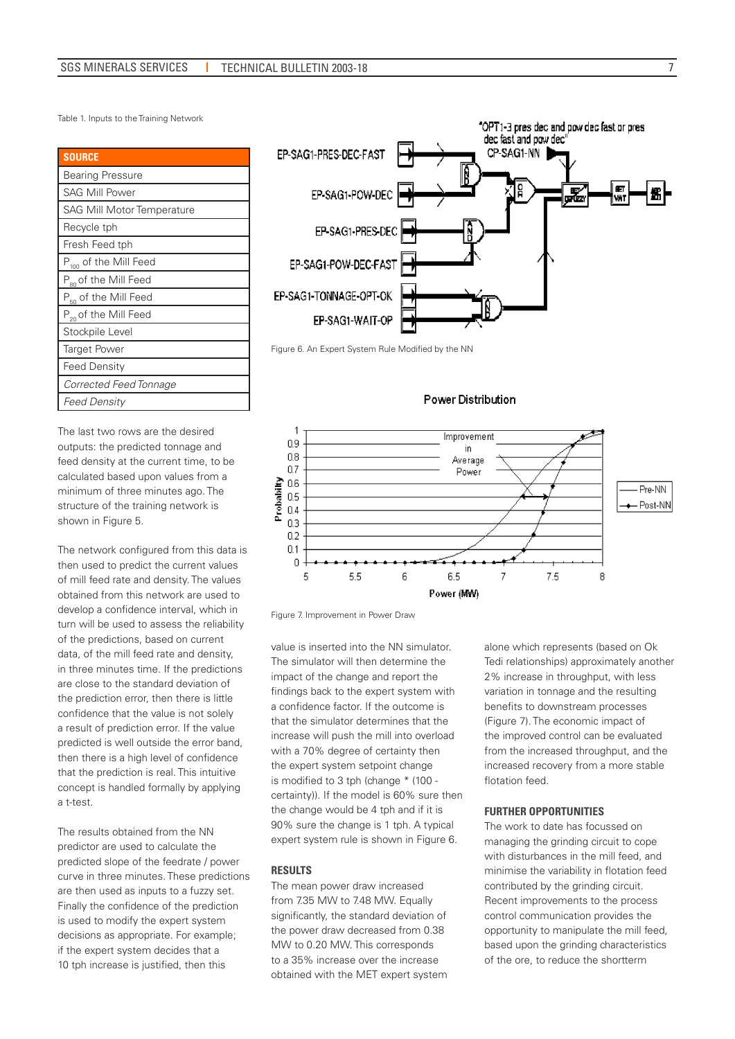Table 1. Inputs to the Training Network

| <b>SOURCE</b>                     |
|-----------------------------------|
| <b>Bearing Pressure</b>           |
| <b>SAG Mill Power</b>             |
| <b>SAG Mill Motor Temperature</b> |
| Recycle tph                       |
| Fresh Feed tph                    |
| P <sub>100</sub> of the Mill Feed |
| P <sub>80</sub> of the Mill Feed  |
| P <sub>50</sub> of the Mill Feed  |
| P <sub>20</sub> of the Mill Feed  |
| Stockpile Level                   |
| <b>Target Power</b>               |
| <b>Feed Density</b>               |
| Corrected Feed Tonnage            |
| <b>Feed Density</b>               |

The last two rows are the desired outputs: the predicted tonnage and feed density at the current time, to be calculated based upon values from a minimum of three minutes ago. The structure of the training network is shown in Figure 5.

The network configured from this data is then used to predict the current values of mill feed rate and density. The values obtained from this network are used to develop a confidence interval, which in turn will be used to assess the reliability of the predictions, based on current data, of the mill feed rate and density, in three minutes time. If the predictions are close to the standard deviation of the prediction error, then there is little confidence that the value is not solely a result of prediction error. If the value predicted is well outside the error band, then there is a high level of confidence that the prediction is real. This intuitive concept is handled formally by applying a t-test.

The results obtained from the NN predictor are used to calculate the predicted slope of the feedrate / power curve in three minutes. These predictions are then used as inputs to a fuzzy set. Finally the confidence of the prediction is used to modify the expert system decisions as appropriate. For example; if the expert system decides that a 10 tph increase is justified, then this



Figure 6. An Expert System Rule Modified by the NN

### Power Distribution



Figure 7. Improvement in Power Draw

value is inserted into the NN simulator. The simulator will then determine the impact of the change and report the findings back to the expert system with a confidence factor. If the outcome is that the simulator determines that the increase will push the mill into overload with a 70% degree of certainty then the expert system setpoint change is modified to 3 tph (change \* (100 certainty)). If the model is 60% sure then the change would be 4 tph and if it is 90% sure the change is 1 tph. A typical expert system rule is shown in Figure 6.

### **RESULTS**

The mean power draw increased from 7.35 MW to 7.48 MW. Equally significantly, the standard deviation of the power draw decreased from 0.38 MW to 0.20 MW. This corresponds to a 35% increase over the increase obtained with the MET expert system alone which represents (based on Ok Tedi relationships) approximately another 2% increase in throughput, with less variation in tonnage and the resulting benefits to downstream processes (Figure 7). The economic impact of the improved control can be evaluated from the increased throughput, and the increased recovery from a more stable flotation feed.

#### **FURTHER OPPORTUNITIES**

The work to date has focussed on managing the grinding circuit to cope with disturbances in the mill feed, and minimise the variability in flotation feed contributed by the grinding circuit. Recent improvements to the process control communication provides the opportunity to manipulate the mill feed, based upon the grinding characteristics of the ore, to reduce the shortterm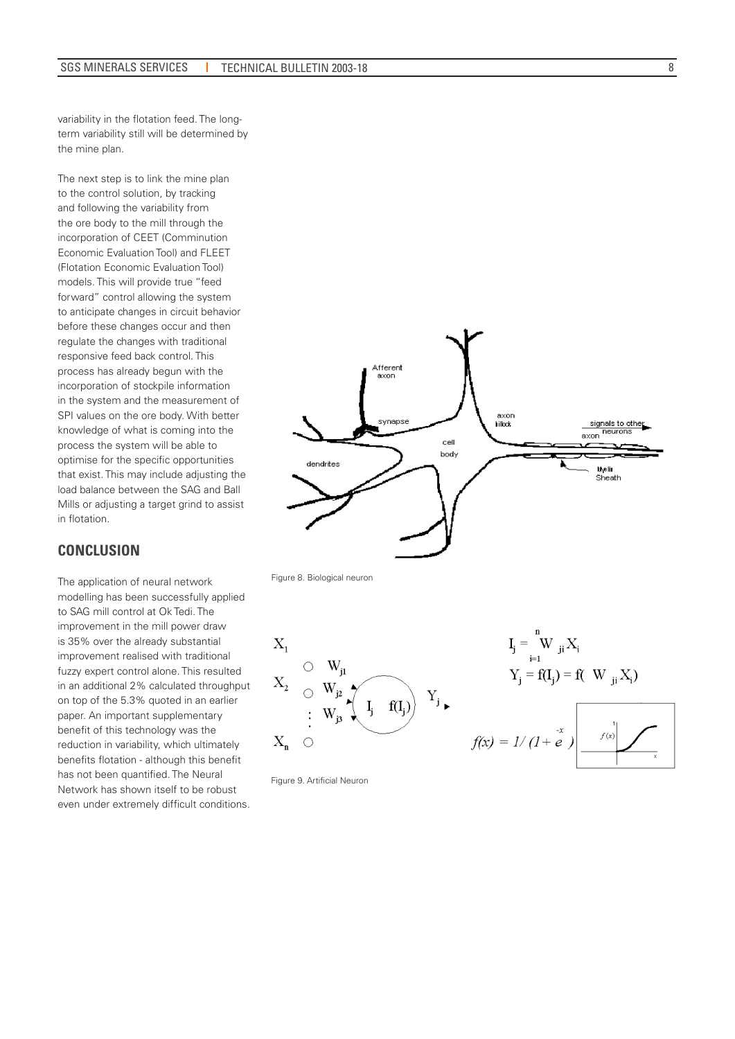variability in the flotation feed. The longterm variability still will be determined by the mine plan.

The next step is to link the mine plan to the control solution, by tracking and following the variability from the ore body to the mill through the incorporation of CEET (Comminution Economic Evaluation Tool) and FLEET (Flotation Economic Evaluation Tool) models. This will provide true "feed forward" control allowing the system to anticipate changes in circuit behavior before these changes occur and then regulate the changes with traditional responsive feed back control. This process has already begun with the incorporation of stockpile information in the system and the measurement of SPI values on the ore body. With better knowledge of what is coming into the process the system will be able to optimise for the specific opportunities that exist. This may include adjusting the load balance between the SAG and Ball Mills or adjusting a target grind to assist in flotation.

## **CONCLUSION**

The application of neural network modelling has been successfully applied to SAG mill control at Ok Tedi. The improvement in the mill power draw is 35% over the already substantial improvement realised with traditional fuzzy expert control alone. This resulted in an additional 2% calculated throughput on top of the 5.3% quoted in an earlier paper. An important supplementary benefit of this technology was the reduction in variability, which ultimately benefits flotation - although this benefit has not been quantified. The Neural Network has shown itself to be robust even under extremely difficult conditions.



Figure 8. Biological neuron







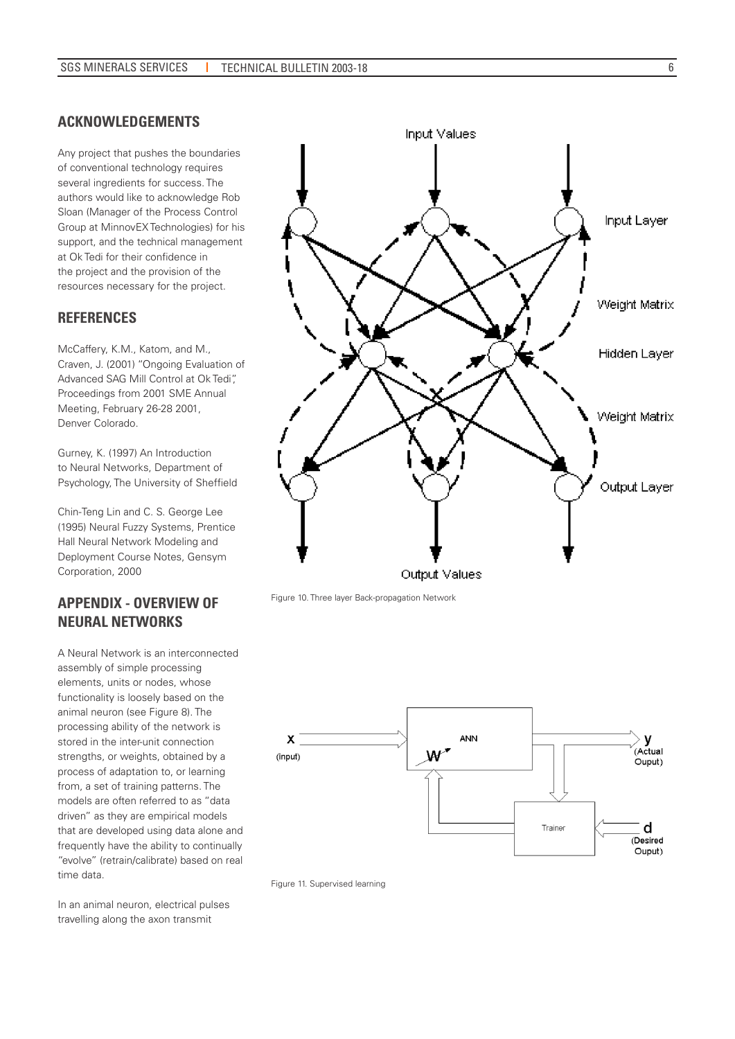### **ACKNOWLEDGEMENTS**

Any project that pushes the boundaries of conventional technology requires several ingredients for success. The authors would like to acknowledge Rob Sloan (Manager of the Process Control Group at MinnovEX Technologies) for his support, and the technical management at Ok Tedi for their confidence in the project and the provision of the resources necessary for the project.

# **REFERENCES**

McCaffery, K.M., Katom, and M., Craven, J. (2001) "Ongoing Evaluation of Advanced SAG Mill Control at Ok Tedi", Proceedings from 2001 SME Annual Meeting, February 26-28 2001, Denver Colorado.

Gurney, K. (1997) An Introduction to Neural Networks, Department of Psychology, The University of Sheffield

Chin-Teng Lin and C. S. George Lee (1995) Neural Fuzzy Systems, Prentice Hall Neural Network Modeling and Deployment Course Notes, Gensym Corporation, 2000

# **APPENDIX - OVERVIEW OF NEURAL NETWORKS**

A Neural Network is an interconnected assembly of simple processing elements, units or nodes, whose functionality is loosely based on the animal neuron (see Figure 8). The processing ability of the network is stored in the inter-unit connection strengths, or weights, obtained by a process of adaptation to, or learning from, a set of training patterns. The models are often referred to as "data driven" as they are empirical models that are developed using data alone and frequently have the ability to continually "evolve" (retrain/calibrate) based on real time data.

In an animal neuron, electrical pulses travelling along the axon transmit



Figure 10. Three layer Back-propagation Network



Figure 11. Supervised learning